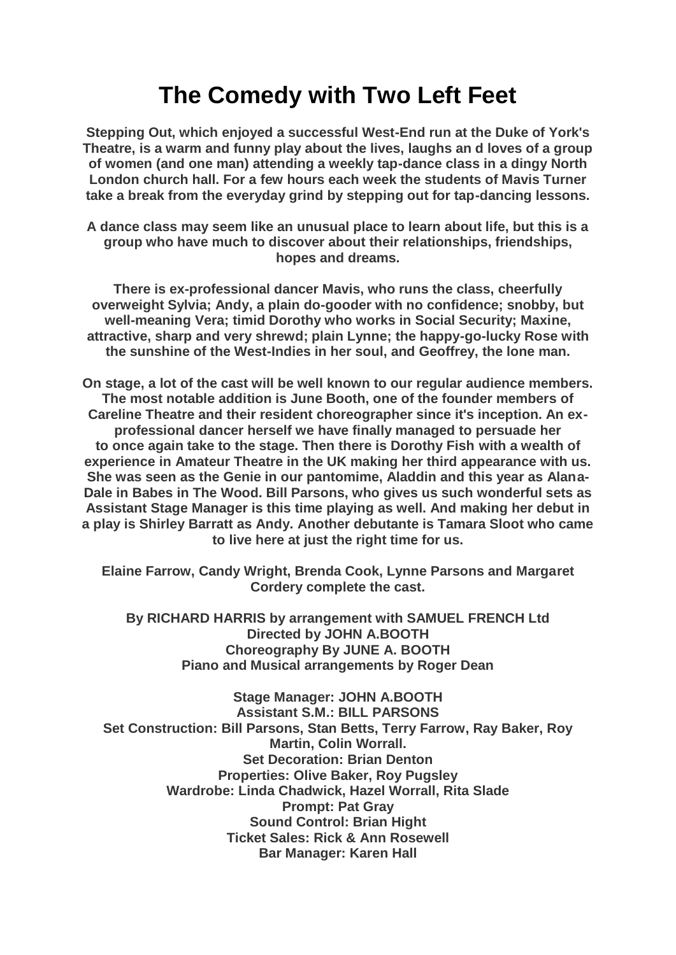## **The Comedy with Two Left Feet**

**Stepping Out, which enjoyed a successful West-End run at the Duke of York's Theatre, is a warm and funny play about the lives, laughs an d loves of a group of women (and one man) attending a weekly tap-dance class in a dingy North London church hall. For a few hours each week the students of Mavis Turner take a break from the everyday grind by stepping out for tap-dancing lessons.**

**A dance class may seem like an unusual place to learn about life, but this is a group who have much to discover about their relationships, friendships, hopes and dreams.**

**There is ex-professional dancer Mavis, who runs the class, cheerfully overweight Sylvia; Andy, a plain do-gooder with no confidence; snobby, but well-meaning Vera; timid Dorothy who works in Social Security; Maxine, attractive, sharp and very shrewd; plain Lynne; the happy-go-lucky Rose with the sunshine of the West-Indies in her soul, and Geoffrey, the lone man.**

**On stage, a lot of the cast will be well known to our regular audience members. The most notable addition is June Booth, one of the founder members of Careline Theatre and their resident choreographer since it's inception. An exprofessional dancer herself we have finally managed to persuade her to once again take to the stage. Then there is Dorothy Fish with a wealth of experience in Amateur Theatre in the UK making her third appearance with us. She was seen as the Genie in our pantomime, Aladdin and this year as Alana-Dale in Babes in The Wood. Bill Parsons, who gives us such wonderful sets as Assistant Stage Manager is this time playing as well. And making her debut in a play is Shirley Barratt as Andy. Another debutante is Tamara Sloot who came to live here at just the right time for us.**

**Elaine Farrow, Candy Wright, Brenda Cook, Lynne Parsons and Margaret Cordery complete the cast.**

**By RICHARD HARRIS by arrangement with SAMUEL FRENCH Ltd Directed by JOHN A.BOOTH Choreography By JUNE A. BOOTH Piano and Musical arrangements by Roger Dean**

**Stage Manager: JOHN A.BOOTH Assistant S.M.: BILL PARSONS Set Construction: Bill Parsons, Stan Betts, Terry Farrow, Ray Baker, Roy Martin, Colin Worrall. Set Decoration: Brian Denton Properties: Olive Baker, Roy Pugsley Wardrobe: Linda Chadwick, Hazel Worrall, Rita Slade Prompt: Pat Gray Sound Control: Brian Hight Ticket Sales: Rick & Ann Rosewell Bar Manager: Karen Hall**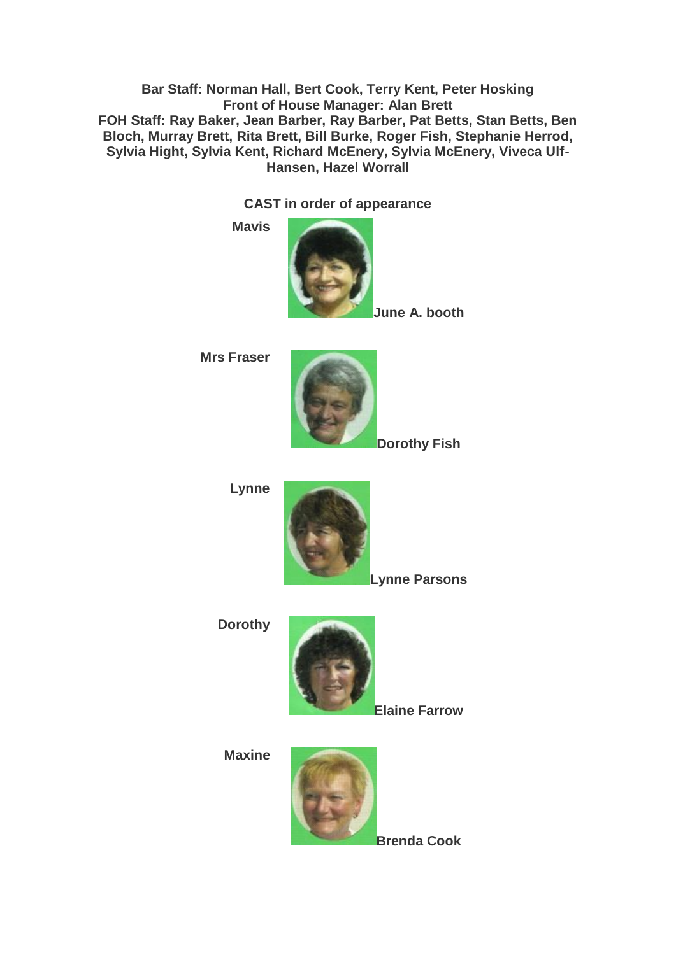**Bar Staff: Norman Hall, Bert Cook, Terry Kent, Peter Hosking Front of House Manager: Alan Brett FOH Staff: Ray Baker, Jean Barber, Ray Barber, Pat Betts, Stan Betts, Ben Bloch, Murray Brett, Rita Brett, Bill Burke, Roger Fish, Stephanie Herrod, Sylvia Hight, Sylvia Kent, Richard McEnery, Sylvia McEnery, Viveca Ulf-Hansen, Hazel Worrall**